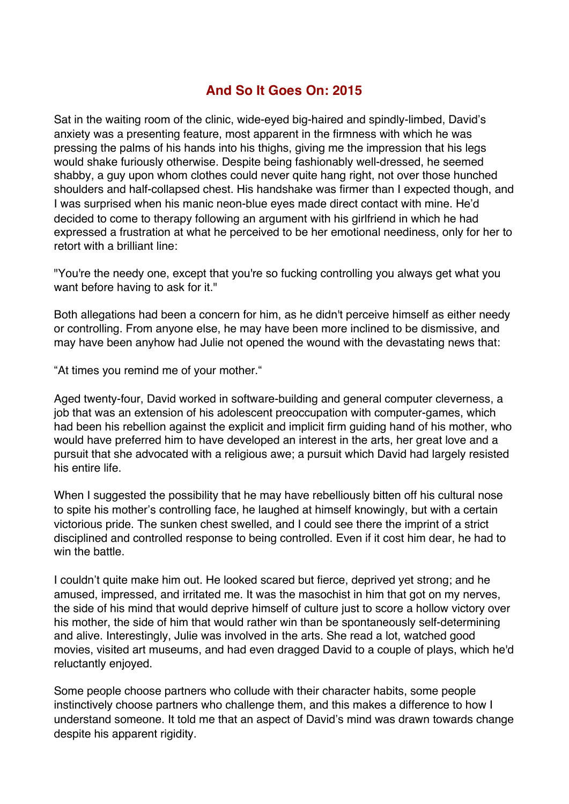## **And So It Goes On: 2015**

Sat in the waiting room of the clinic, wide-eyed big-haired and spindly-limbed, David's anxiety was a presenting feature, most apparent in the firmness with which he was pressing the palms of his hands into his thighs, giving me the impression that his legs would shake furiously otherwise. Despite being fashionably well-dressed, he seemed shabby, a guy upon whom clothes could never quite hang right, not over those hunched shoulders and half-collapsed chest. His handshake was firmer than I expected though, and I was surprised when his manic neon-blue eyes made direct contact with mine. He'd decided to come to therapy following an argument with his girlfriend in which he had expressed a frustration at what he perceived to be her emotional neediness, only for her to retort with a brilliant line:

"You're the needy one, except that you're so fucking controlling you always get what you want before having to ask for it."

Both allegations had been a concern for him, as he didn't perceive himself as either needy or controlling. From anyone else, he may have been more inclined to be dismissive, and may have been anyhow had Julie not opened the wound with the devastating news that:

"At times you remind me of your mother."

Aged twenty-four, David worked in software-building and general computer cleverness, a job that was an extension of his adolescent preoccupation with computer-games, which had been his rebellion against the explicit and implicit firm guiding hand of his mother, who would have preferred him to have developed an interest in the arts, her great love and a pursuit that she advocated with a religious awe; a pursuit which David had largely resisted his entire life.

When I suggested the possibility that he may have rebelliously bitten off his cultural nose to spite his mother's controlling face, he laughed at himself knowingly, but with a certain victorious pride. The sunken chest swelled, and I could see there the imprint of a strict disciplined and controlled response to being controlled. Even if it cost him dear, he had to win the battle

I couldn't quite make him out. He looked scared but fierce, deprived yet strong; and he amused, impressed, and irritated me. It was the masochist in him that got on my nerves, the side of his mind that would deprive himself of culture just to score a hollow victory over his mother, the side of him that would rather win than be spontaneously self-determining and alive. Interestingly, Julie was involved in the arts. She read a lot, watched good movies, visited art museums, and had even dragged David to a couple of plays, which he'd reluctantly enjoyed.

Some people choose partners who collude with their character habits, some people instinctively choose partners who challenge them, and this makes a difference to how I understand someone. It told me that an aspect of David's mind was drawn towards change despite his apparent rigidity.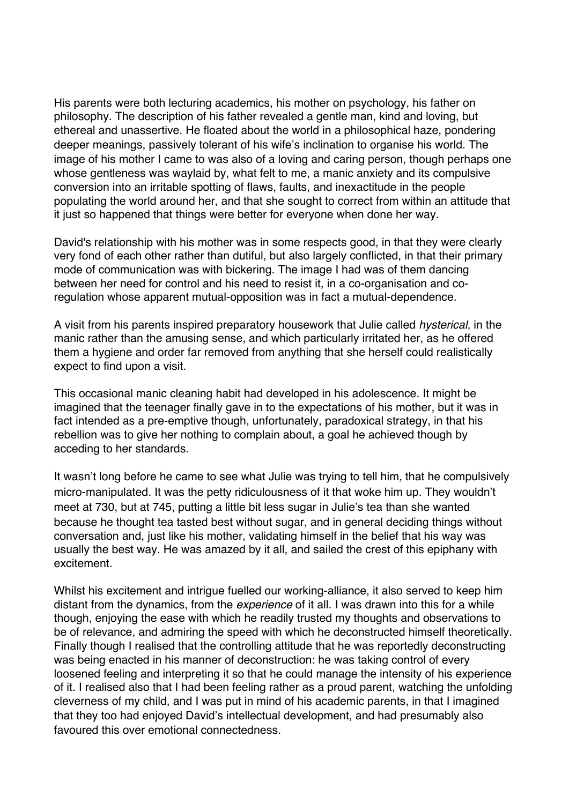His parents were both lecturing academics, his mother on psychology, his father on philosophy. The description of his father revealed a gentle man, kind and loving, but ethereal and unassertive. He floated about the world in a philosophical haze, pondering deeper meanings, passively tolerant of his wife's inclination to organise his world. The image of his mother I came to was also of a loving and caring person, though perhaps one whose gentleness was waylaid by, what felt to me, a manic anxiety and its compulsive conversion into an irritable spotting of flaws, faults, and inexactitude in the people populating the world around her, and that she sought to correct from within an attitude that it just so happened that things were better for everyone when done her way.

David's relationship with his mother was in some respects good, in that they were clearly very fond of each other rather than dutiful, but also largely conflicted, in that their primary mode of communication was with bickering. The image I had was of them dancing between her need for control and his need to resist it, in a co-organisation and coregulation whose apparent mutual-opposition was in fact a mutual-dependence.

A visit from his parents inspired preparatory housework that Julie called *hysterical*, in the manic rather than the amusing sense, and which particularly irritated her, as he offered them a hygiene and order far removed from anything that she herself could realistically expect to find upon a visit.

This occasional manic cleaning habit had developed in his adolescence. It might be imagined that the teenager finally gave in to the expectations of his mother, but it was in fact intended as a pre-emptive though, unfortunately, paradoxical strategy, in that his rebellion was to give her nothing to complain about, a goal he achieved though by acceding to her standards.

It wasn't long before he came to see what Julie was trying to tell him*,* that he compulsively micro-manipulated*.* It was the petty ridiculousness of it that woke him up. They wouldn't meet at 730, but at 745, putting a little bit less sugar in Julie's tea than she wanted because he thought tea tasted best without sugar, and in general deciding things without conversation and, just like his mother, validating himself in the belief that his way was usually the best way. He was amazed by it all, and sailed the crest of this epiphany with excitement.

Whilst his excitement and intrigue fuelled our working-alliance, it also served to keep him distant from the dynamics, from the *experience* of it all. I was drawn into this for a while though, enjoying the ease with which he readily trusted my thoughts and observations to be of relevance, and admiring the speed with which he deconstructed himself theoretically. Finally though I realised that the controlling attitude that he was reportedly deconstructing was being enacted in his manner of deconstruction: he was taking control of every loosened feeling and interpreting it so that he could manage the intensity of his experience of it. I realised also that I had been feeling rather as a proud parent, watching the unfolding cleverness of my child, and I was put in mind of his academic parents, in that I imagined that they too had enjoyed David's intellectual development, and had presumably also favoured this over emotional connectedness.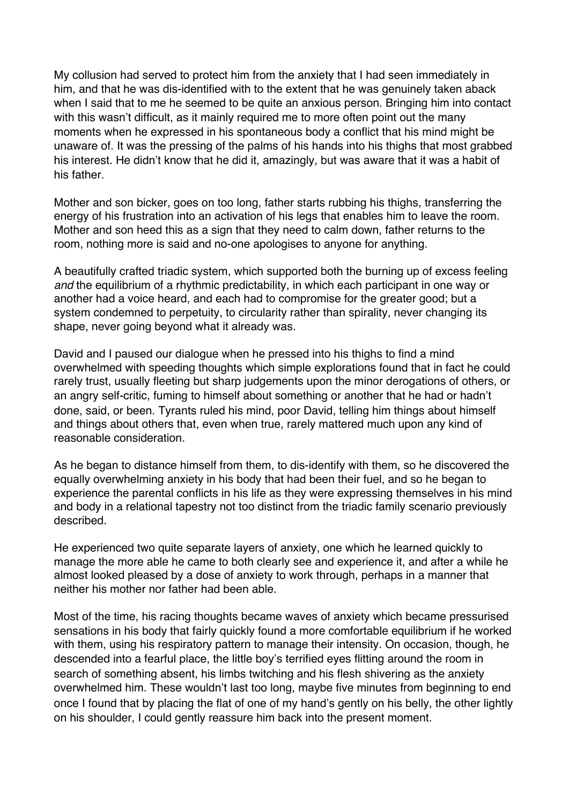My collusion had served to protect him from the anxiety that I had seen immediately in him, and that he was dis-identified with to the extent that he was genuinely taken aback when I said that to me he seemed to be quite an anxious person. Bringing him into contact with this wasn't difficult, as it mainly required me to more often point out the many moments when he expressed in his spontaneous body a conflict that his mind might be unaware of. It was the pressing of the palms of his hands into his thighs that most grabbed his interest. He didn't know that he did it, amazingly, but was aware that it was a habit of his father.

Mother and son bicker, goes on too long, father starts rubbing his thighs, transferring the energy of his frustration into an activation of his legs that enables him to leave the room. Mother and son heed this as a sign that they need to calm down, father returns to the room, nothing more is said and no-one apologises to anyone for anything.

A beautifully crafted triadic system, which supported both the burning up of excess feeling *and* the equilibrium of a rhythmic predictability, in which each participant in one way or another had a voice heard, and each had to compromise for the greater good; but a system condemned to perpetuity, to circularity rather than spirality, never changing its shape, never going beyond what it already was.

David and I paused our dialogue when he pressed into his thighs to find a mind overwhelmed with speeding thoughts which simple explorations found that in fact he could rarely trust, usually fleeting but sharp judgements upon the minor derogations of others, or an angry self-critic, fuming to himself about something or another that he had or hadn't done, said, or been. Tyrants ruled his mind, poor David, telling him things about himself and things about others that, even when true, rarely mattered much upon any kind of reasonable consideration.

As he began to distance himself from them, to dis-identify with them, so he discovered the equally overwhelming anxiety in his body that had been their fuel, and so he began to experience the parental conflicts in his life as they were expressing themselves in his mind and body in a relational tapestry not too distinct from the triadic family scenario previously described.

He experienced two quite separate layers of anxiety, one which he learned quickly to manage the more able he came to both clearly see and experience it, and after a while he almost looked pleased by a dose of anxiety to work through, perhaps in a manner that neither his mother nor father had been able.

Most of the time, his racing thoughts became waves of anxiety which became pressurised sensations in his body that fairly quickly found a more comfortable equilibrium if he worked with them, using his respiratory pattern to manage their intensity. On occasion, though, he descended into a fearful place, the little boy's terrified eyes flitting around the room in search of something absent, his limbs twitching and his flesh shivering as the anxiety overwhelmed him. These wouldn't last too long, maybe five minutes from beginning to end once I found that by placing the flat of one of my hand's gently on his belly, the other lightly on his shoulder, I could gently reassure him back into the present moment.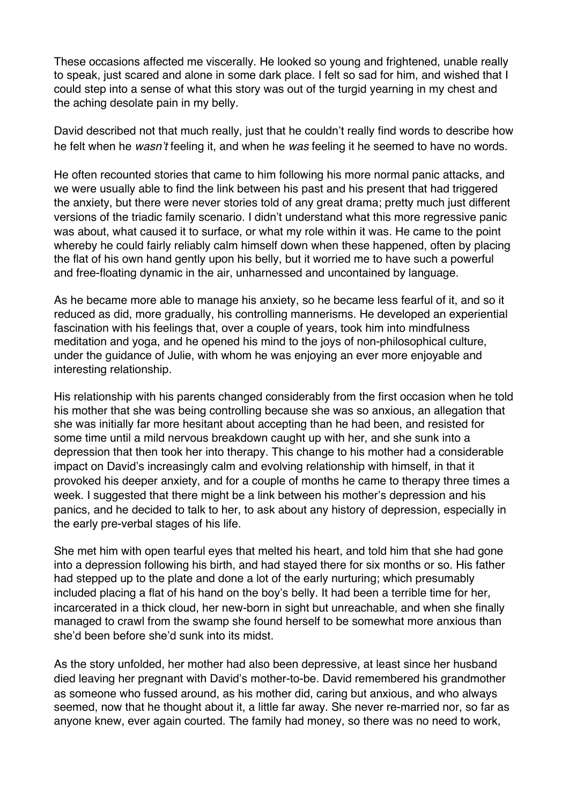These occasions affected me viscerally. He looked so young and frightened, unable really to speak, just scared and alone in some dark place. I felt so sad for him, and wished that I could step into a sense of what this story was out of the turgid yearning in my chest and the aching desolate pain in my belly.

David described not that much really, just that he couldn't really find words to describe how he felt when he *wasn*'*t* feeling it, and when he *was* feeling it he seemed to have no words.

He often recounted stories that came to him following his more normal panic attacks, and we were usually able to find the link between his past and his present that had triggered the anxiety, but there were never stories told of any great drama; pretty much just different versions of the triadic family scenario. I didn't understand what this more regressive panic was about, what caused it to surface, or what my role within it was. He came to the point whereby he could fairly reliably calm himself down when these happened, often by placing the flat of his own hand gently upon his belly, but it worried me to have such a powerful and free-floating dynamic in the air, unharnessed and uncontained by language.

As he became more able to manage his anxiety, so he became less fearful of it, and so it reduced as did, more gradually, his controlling mannerisms. He developed an experiential fascination with his feelings that, over a couple of years, took him into mindfulness meditation and yoga, and he opened his mind to the joys of non-philosophical culture, under the guidance of Julie, with whom he was enjoying an ever more enjoyable and interesting relationship.

His relationship with his parents changed considerably from the first occasion when he told his mother that she was being controlling because she was so anxious, an allegation that she was initially far more hesitant about accepting than he had been, and resisted for some time until a mild nervous breakdown caught up with her, and she sunk into a depression that then took her into therapy. This change to his mother had a considerable impact on David's increasingly calm and evolving relationship with himself, in that it provoked his deeper anxiety, and for a couple of months he came to therapy three times a week. I suggested that there might be a link between his mother's depression and his panics, and he decided to talk to her, to ask about any history of depression, especially in the early pre-verbal stages of his life.

She met him with open tearful eyes that melted his heart, and told him that she had gone into a depression following his birth, and had stayed there for six months or so. His father had stepped up to the plate and done a lot of the early nurturing; which presumably included placing a flat of his hand on the boy's belly. It had been a terrible time for her, incarcerated in a thick cloud, her new-born in sight but unreachable, and when she finally managed to crawl from the swamp she found herself to be somewhat more anxious than she'd been before she'd sunk into its midst.

As the story unfolded, her mother had also been depressive, at least since her husband died leaving her pregnant with David's mother-to-be. David remembered his grandmother as someone who fussed around, as his mother did, caring but anxious, and who always seemed, now that he thought about it, a little far away. She never re-married nor, so far as anyone knew, ever again courted. The family had money, so there was no need to work,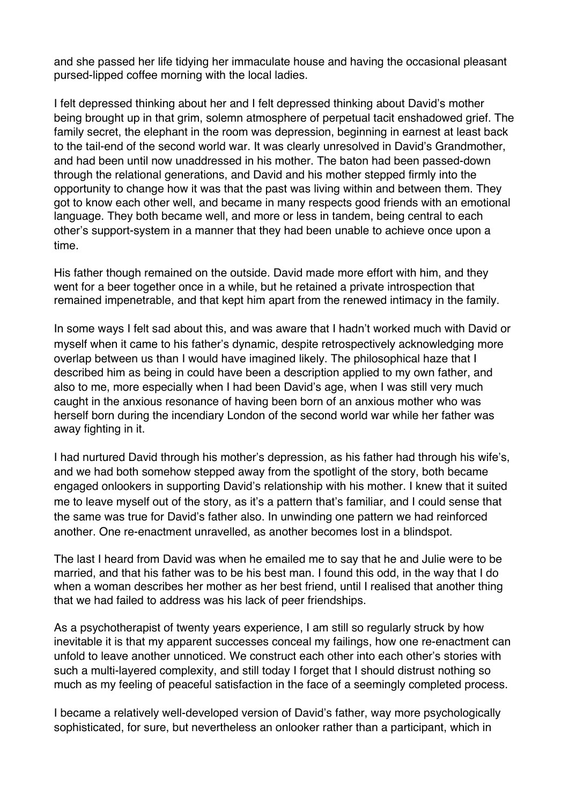and she passed her life tidying her immaculate house and having the occasional pleasant pursed-lipped coffee morning with the local ladies.

I felt depressed thinking about her and I felt depressed thinking about David's mother being brought up in that grim, solemn atmosphere of perpetual tacit enshadowed grief. The family secret, the elephant in the room was depression, beginning in earnest at least back to the tail-end of the second world war. It was clearly unresolved in David's Grandmother, and had been until now unaddressed in his mother. The baton had been passed-down through the relational generations, and David and his mother stepped firmly into the opportunity to change how it was that the past was living within and between them. They got to know each other well, and became in many respects good friends with an emotional language. They both became well, and more or less in tandem, being central to each other's support-system in a manner that they had been unable to achieve once upon a time.

His father though remained on the outside. David made more effort with him, and they went for a beer together once in a while, but he retained a private introspection that remained impenetrable, and that kept him apart from the renewed intimacy in the family.

In some ways I felt sad about this, and was aware that I hadn't worked much with David or myself when it came to his father's dynamic, despite retrospectively acknowledging more overlap between us than I would have imagined likely. The philosophical haze that I described him as being in could have been a description applied to my own father, and also to me, more especially when I had been David's age, when I was still very much caught in the anxious resonance of having been born of an anxious mother who was herself born during the incendiary London of the second world war while her father was away fighting in it.

I had nurtured David through his mother's depression, as his father had through his wife's, and we had both somehow stepped away from the spotlight of the story, both became engaged onlookers in supporting David's relationship with his mother. I knew that it suited me to leave myself out of the story, as it's a pattern that's familiar, and I could sense that the same was true for David's father also. In unwinding one pattern we had reinforced another. One re-enactment unravelled, as another becomes lost in a blindspot.

The last I heard from David was when he emailed me to say that he and Julie were to be married, and that his father was to be his best man. I found this odd, in the way that I do when a woman describes her mother as her best friend, until I realised that another thing that we had failed to address was his lack of peer friendships.

As a psychotherapist of twenty years experience, I am still so regularly struck by how inevitable it is that my apparent successes conceal my failings, how one re-enactment can unfold to leave another unnoticed. We construct each other into each other's stories with such a multi-layered complexity, and still today I forget that I should distrust nothing so much as my feeling of peaceful satisfaction in the face of a seemingly completed process.

I became a relatively well-developed version of David's father, way more psychologically sophisticated, for sure, but nevertheless an onlooker rather than a participant, which in